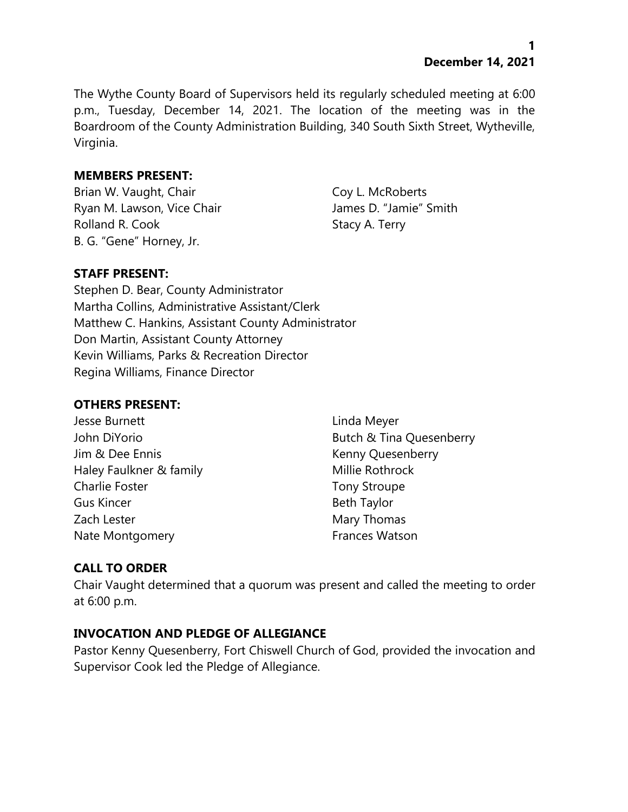The Wythe County Board of Supervisors held its regularly scheduled meeting at 6:00 p.m., Tuesday, December 14, 2021. The location of the meeting was in the Boardroom of the County Administration Building, 340 South Sixth Street, Wytheville, Virginia.

# **MEMBERS PRESENT:**

Brian W. Vaught, Chair Coy L. McRoberts Ryan M. Lawson, Vice Chair **James D. "Jamie"** Smith Rolland R. Cook Stacy A. Terry B. G. "Gene" Horney, Jr.

# **STAFF PRESENT:**

Stephen D. Bear, County Administrator Martha Collins, Administrative Assistant/Clerk Matthew C. Hankins, Assistant County Administrator Don Martin, Assistant County Attorney Kevin Williams, Parks & Recreation Director Regina Williams, Finance Director

#### **OTHERS PRESENT:**

Jesse Burnett Linda Meyer Jim & Dee Ennis **Kenny Quesenberry** Haley Faulkner & family Millie Rothrock Charlie Foster Tony Stroupe Gus Kincer **Beth Taylor** Beth Taylor Zach Lester **Mary Thomas** Nate Montgomery **Frances Watson** 

John DiYorio **Butch & Tina Quesenberry** 

# **CALL TO ORDER**

Chair Vaught determined that a quorum was present and called the meeting to order at 6:00 p.m.

# **INVOCATION AND PLEDGE OF ALLEGIANCE**

Pastor Kenny Quesenberry, Fort Chiswell Church of God, provided the invocation and Supervisor Cook led the Pledge of Allegiance.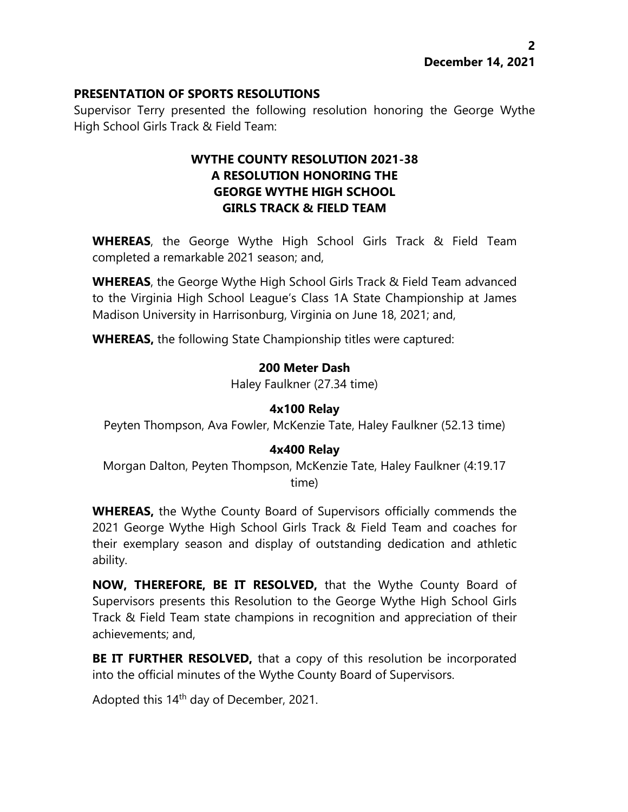#### **PRESENTATION OF SPORTS RESOLUTIONS**

Supervisor Terry presented the following resolution honoring the George Wythe High School Girls Track & Field Team:

# **WYTHE COUNTY RESOLUTION 2021-38 A RESOLUTION HONORING THE GEORGE WYTHE HIGH SCHOOL GIRLS TRACK & FIELD TEAM**

**WHEREAS**, the George Wythe High School Girls Track & Field Team completed a remarkable 2021 season; and,

**WHEREAS**, the George Wythe High School Girls Track & Field Team advanced to the Virginia High School League's Class 1A State Championship at James Madison University in Harrisonburg, Virginia on June 18, 2021; and,

**WHEREAS,** the following State Championship titles were captured:

#### **200 Meter Dash**

Haley Faulkner (27.34 time)

# **4x100 Relay**

Peyten Thompson, Ava Fowler, McKenzie Tate, Haley Faulkner (52.13 time)

# **4x400 Relay**

Morgan Dalton, Peyten Thompson, McKenzie Tate, Haley Faulkner (4:19.17 time)

**WHEREAS,** the Wythe County Board of Supervisors officially commends the 2021 George Wythe High School Girls Track & Field Team and coaches for their exemplary season and display of outstanding dedication and athletic ability.

**NOW, THEREFORE, BE IT RESOLVED,** that the Wythe County Board of Supervisors presents this Resolution to the George Wythe High School Girls Track & Field Team state champions in recognition and appreciation of their achievements; and,

**BE IT FURTHER RESOLVED,** that a copy of this resolution be incorporated into the official minutes of the Wythe County Board of Supervisors.

Adopted this 14<sup>th</sup> day of December, 2021.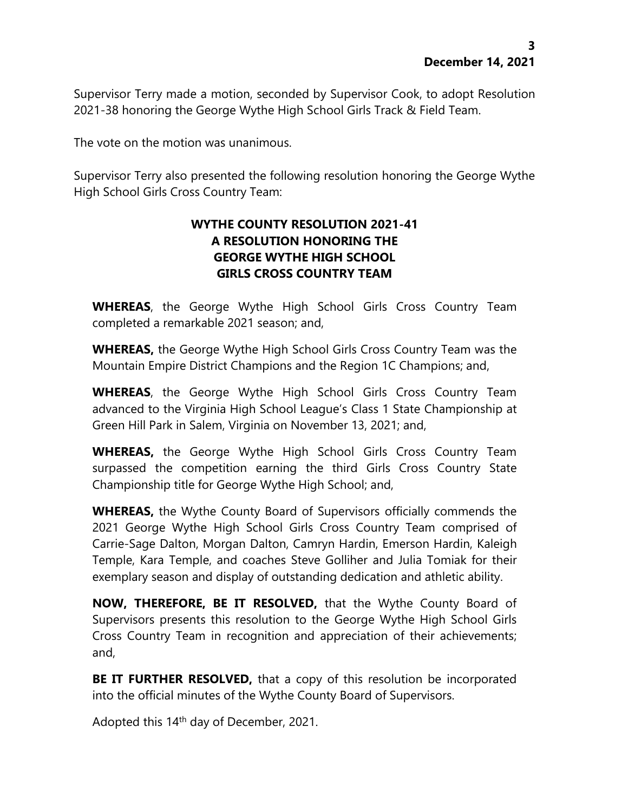Supervisor Terry made a motion, seconded by Supervisor Cook, to adopt Resolution 2021-38 honoring the George Wythe High School Girls Track & Field Team.

The vote on the motion was unanimous.

Supervisor Terry also presented the following resolution honoring the George Wythe High School Girls Cross Country Team:

# **WYTHE COUNTY RESOLUTION 2021-41 A RESOLUTION HONORING THE GEORGE WYTHE HIGH SCHOOL GIRLS CROSS COUNTRY TEAM**

**WHEREAS**, the George Wythe High School Girls Cross Country Team completed a remarkable 2021 season; and,

**WHEREAS,** the George Wythe High School Girls Cross Country Team was the Mountain Empire District Champions and the Region 1C Champions; and,

**WHEREAS**, the George Wythe High School Girls Cross Country Team advanced to the Virginia High School League's Class 1 State Championship at Green Hill Park in Salem, Virginia on November 13, 2021; and,

**WHEREAS,** the George Wythe High School Girls Cross Country Team surpassed the competition earning the third Girls Cross Country State Championship title for George Wythe High School; and,

**WHEREAS,** the Wythe County Board of Supervisors officially commends the 2021 George Wythe High School Girls Cross Country Team comprised of Carrie-Sage Dalton, Morgan Dalton, Camryn Hardin, Emerson Hardin, Kaleigh Temple, Kara Temple, and coaches Steve Golliher and Julia Tomiak for their exemplary season and display of outstanding dedication and athletic ability.

**NOW, THEREFORE, BE IT RESOLVED,** that the Wythe County Board of Supervisors presents this resolution to the George Wythe High School Girls Cross Country Team in recognition and appreciation of their achievements; and,

**BE IT FURTHER RESOLVED,** that a copy of this resolution be incorporated into the official minutes of the Wythe County Board of Supervisors.

Adopted this 14<sup>th</sup> day of December, 2021.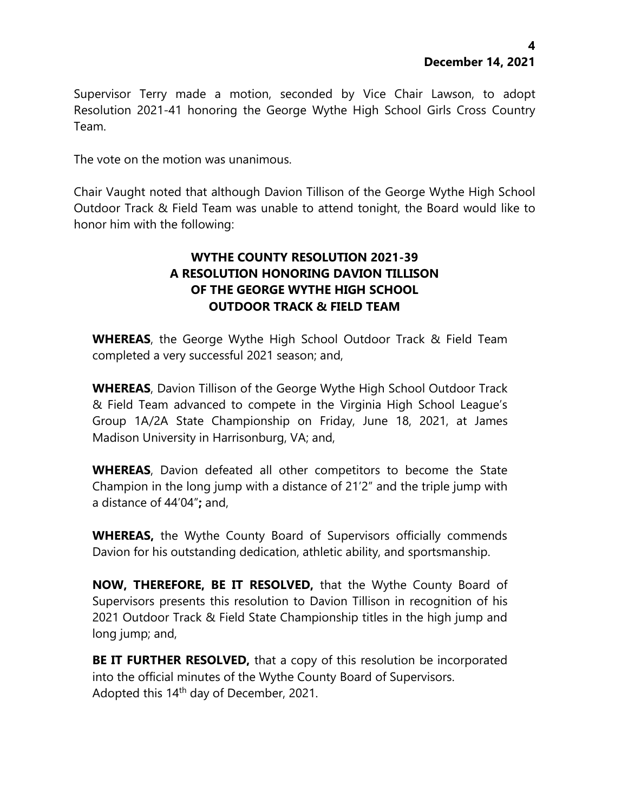Supervisor Terry made a motion, seconded by Vice Chair Lawson, to adopt Resolution 2021-41 honoring the George Wythe High School Girls Cross Country Team.

The vote on the motion was unanimous.

Chair Vaught noted that although Davion Tillison of the George Wythe High School Outdoor Track & Field Team was unable to attend tonight, the Board would like to honor him with the following:

# **WYTHE COUNTY RESOLUTION 2021-39 A RESOLUTION HONORING DAVION TILLISON OF THE GEORGE WYTHE HIGH SCHOOL OUTDOOR TRACK & FIELD TEAM**

**WHEREAS**, the George Wythe High School Outdoor Track & Field Team completed a very successful 2021 season; and,

**WHEREAS**, Davion Tillison of the George Wythe High School Outdoor Track & Field Team advanced to compete in the Virginia High School League's Group 1A/2A State Championship on Friday, June 18, 2021, at James Madison University in Harrisonburg, VA; and,

**WHEREAS**, Davion defeated all other competitors to become the State Champion in the long jump with a distance of 21'2" and the triple jump with a distance of 44'04"**;** and,

**WHEREAS,** the Wythe County Board of Supervisors officially commends Davion for his outstanding dedication, athletic ability, and sportsmanship.

**NOW, THEREFORE, BE IT RESOLVED,** that the Wythe County Board of Supervisors presents this resolution to Davion Tillison in recognition of his 2021 Outdoor Track & Field State Championship titles in the high jump and long jump; and,

**BE IT FURTHER RESOLVED,** that a copy of this resolution be incorporated into the official minutes of the Wythe County Board of Supervisors. Adopted this 14<sup>th</sup> day of December, 2021.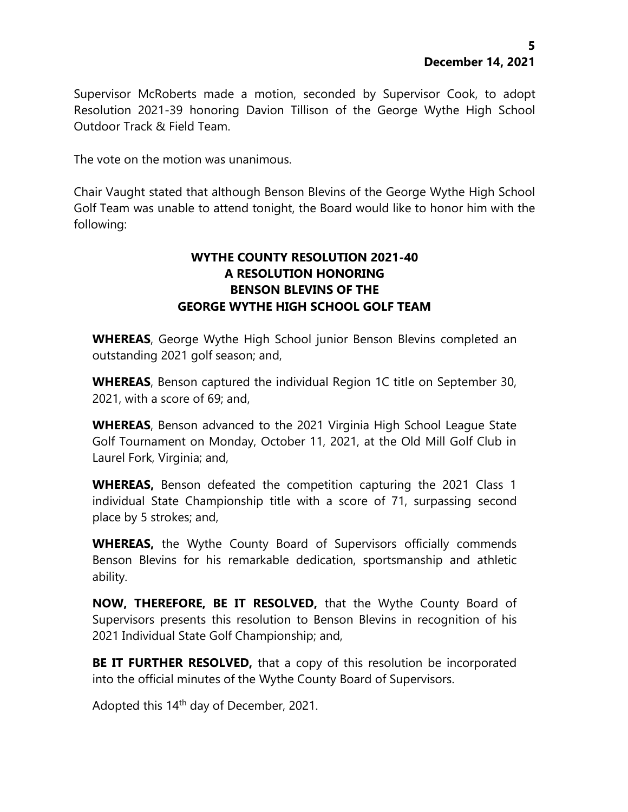Supervisor McRoberts made a motion, seconded by Supervisor Cook, to adopt Resolution 2021-39 honoring Davion Tillison of the George Wythe High School Outdoor Track & Field Team.

The vote on the motion was unanimous.

Chair Vaught stated that although Benson Blevins of the George Wythe High School Golf Team was unable to attend tonight, the Board would like to honor him with the following:

# **WYTHE COUNTY RESOLUTION 2021-40 A RESOLUTION HONORING BENSON BLEVINS OF THE GEORGE WYTHE HIGH SCHOOL GOLF TEAM**

**WHEREAS**, George Wythe High School junior Benson Blevins completed an outstanding 2021 golf season; and,

**WHEREAS**, Benson captured the individual Region 1C title on September 30, 2021, with a score of 69; and,

**WHEREAS**, Benson advanced to the 2021 Virginia High School League State Golf Tournament on Monday, October 11, 2021, at the Old Mill Golf Club in Laurel Fork, Virginia; and,

**WHEREAS,** Benson defeated the competition capturing the 2021 Class 1 individual State Championship title with a score of 71, surpassing second place by 5 strokes; and,

**WHEREAS,** the Wythe County Board of Supervisors officially commends Benson Blevins for his remarkable dedication, sportsmanship and athletic ability.

**NOW, THEREFORE, BE IT RESOLVED,** that the Wythe County Board of Supervisors presents this resolution to Benson Blevins in recognition of his 2021 Individual State Golf Championship; and,

**BE IT FURTHER RESOLVED,** that a copy of this resolution be incorporated into the official minutes of the Wythe County Board of Supervisors.

Adopted this 14<sup>th</sup> day of December, 2021.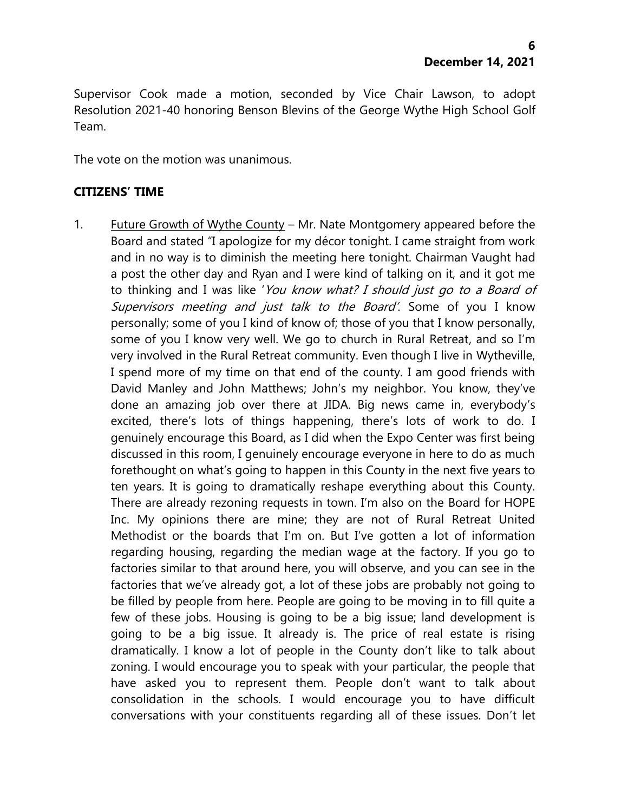Supervisor Cook made a motion, seconded by Vice Chair Lawson, to adopt Resolution 2021-40 honoring Benson Blevins of the George Wythe High School Golf Team.

The vote on the motion was unanimous.

#### **CITIZENS' TIME**

1. Future Growth of Wythe County – Mr. Nate Montgomery appeared before the Board and stated "I apologize for my décor tonight. I came straight from work and in no way is to diminish the meeting here tonight. Chairman Vaught had a post the other day and Ryan and I were kind of talking on it, and it got me to thinking and I was like 'You know what? I should just go to a Board of Supervisors meeting and just talk to the Board'. Some of you I know personally; some of you I kind of know of; those of you that I know personally, some of you I know very well. We go to church in Rural Retreat, and so I'm very involved in the Rural Retreat community. Even though I live in Wytheville, I spend more of my time on that end of the county. I am good friends with David Manley and John Matthews; John's my neighbor. You know, they've done an amazing job over there at JIDA. Big news came in, everybody's excited, there's lots of things happening, there's lots of work to do. I genuinely encourage this Board, as I did when the Expo Center was first being discussed in this room, I genuinely encourage everyone in here to do as much forethought on what's going to happen in this County in the next five years to ten years. It is going to dramatically reshape everything about this County. There are already rezoning requests in town. I'm also on the Board for HOPE Inc. My opinions there are mine; they are not of Rural Retreat United Methodist or the boards that I'm on. But I've gotten a lot of information regarding housing, regarding the median wage at the factory. If you go to factories similar to that around here, you will observe, and you can see in the factories that we've already got, a lot of these jobs are probably not going to be filled by people from here. People are going to be moving in to fill quite a few of these jobs. Housing is going to be a big issue; land development is going to be a big issue. It already is. The price of real estate is rising dramatically. I know a lot of people in the County don't like to talk about zoning. I would encourage you to speak with your particular, the people that have asked you to represent them. People don't want to talk about consolidation in the schools. I would encourage you to have difficult conversations with your constituents regarding all of these issues. Don't let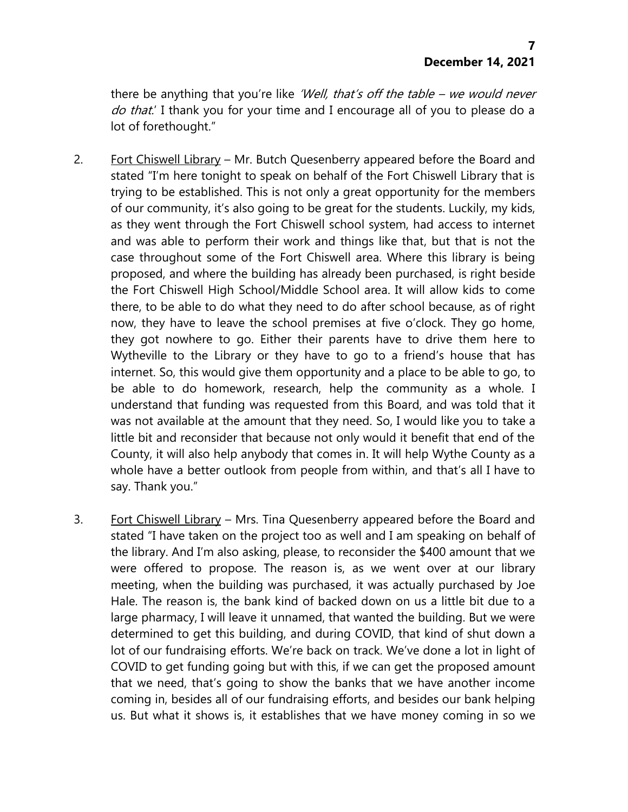there be anything that you're like 'Well, that's off the table – we would never do that.' I thank you for your time and I encourage all of you to please do a lot of forethought."

- 2. Fort Chiswell Library Mr. Butch Quesenberry appeared before the Board and stated "I'm here tonight to speak on behalf of the Fort Chiswell Library that is trying to be established. This is not only a great opportunity for the members of our community, it's also going to be great for the students. Luckily, my kids, as they went through the Fort Chiswell school system, had access to internet and was able to perform their work and things like that, but that is not the case throughout some of the Fort Chiswell area. Where this library is being proposed, and where the building has already been purchased, is right beside the Fort Chiswell High School/Middle School area. It will allow kids to come there, to be able to do what they need to do after school because, as of right now, they have to leave the school premises at five o'clock. They go home, they got nowhere to go. Either their parents have to drive them here to Wytheville to the Library or they have to go to a friend's house that has internet. So, this would give them opportunity and a place to be able to go, to be able to do homework, research, help the community as a whole. I understand that funding was requested from this Board, and was told that it was not available at the amount that they need. So, I would like you to take a little bit and reconsider that because not only would it benefit that end of the County, it will also help anybody that comes in. It will help Wythe County as a whole have a better outlook from people from within, and that's all I have to say. Thank you."
- 3. Fort Chiswell Library Mrs. Tina Quesenberry appeared before the Board and stated "I have taken on the project too as well and I am speaking on behalf of the library. And I'm also asking, please, to reconsider the \$400 amount that we were offered to propose. The reason is, as we went over at our library meeting, when the building was purchased, it was actually purchased by Joe Hale. The reason is, the bank kind of backed down on us a little bit due to a large pharmacy, I will leave it unnamed, that wanted the building. But we were determined to get this building, and during COVID, that kind of shut down a lot of our fundraising efforts. We're back on track. We've done a lot in light of COVID to get funding going but with this, if we can get the proposed amount that we need, that's going to show the banks that we have another income coming in, besides all of our fundraising efforts, and besides our bank helping us. But what it shows is, it establishes that we have money coming in so we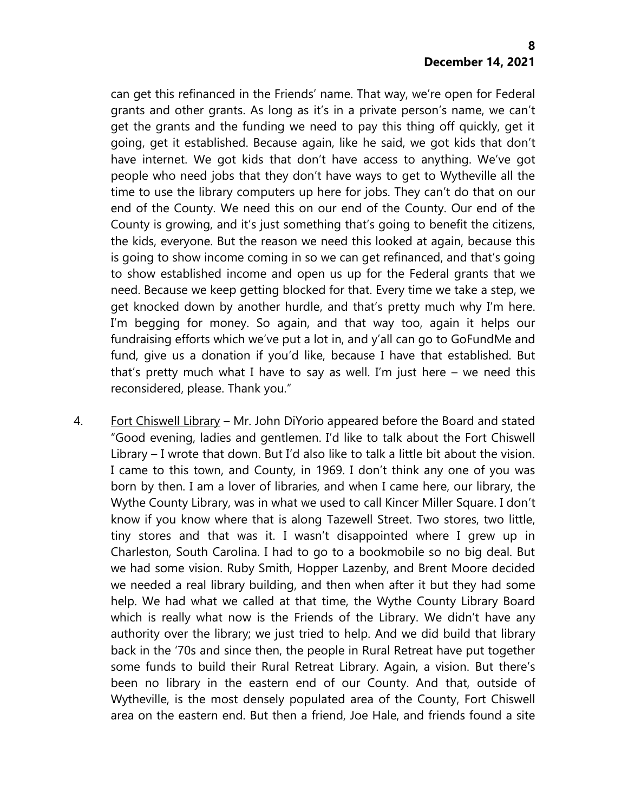can get this refinanced in the Friends' name. That way, we're open for Federal grants and other grants. As long as it's in a private person's name, we can't get the grants and the funding we need to pay this thing off quickly, get it going, get it established. Because again, like he said, we got kids that don't have internet. We got kids that don't have access to anything. We've got people who need jobs that they don't have ways to get to Wytheville all the time to use the library computers up here for jobs. They can't do that on our end of the County. We need this on our end of the County. Our end of the County is growing, and it's just something that's going to benefit the citizens, the kids, everyone. But the reason we need this looked at again, because this is going to show income coming in so we can get refinanced, and that's going to show established income and open us up for the Federal grants that we need. Because we keep getting blocked for that. Every time we take a step, we get knocked down by another hurdle, and that's pretty much why I'm here. I'm begging for money. So again, and that way too, again it helps our fundraising efforts which we've put a lot in, and y'all can go to GoFundMe and fund, give us a donation if you'd like, because I have that established. But that's pretty much what I have to say as well. I'm just here – we need this reconsidered, please. Thank you."

4. Fort Chiswell Library – Mr. John DiYorio appeared before the Board and stated "Good evening, ladies and gentlemen. I'd like to talk about the Fort Chiswell Library – I wrote that down. But I'd also like to talk a little bit about the vision. I came to this town, and County, in 1969. I don't think any one of you was born by then. I am a lover of libraries, and when I came here, our library, the Wythe County Library, was in what we used to call Kincer Miller Square. I don't know if you know where that is along Tazewell Street. Two stores, two little, tiny stores and that was it. I wasn't disappointed where I grew up in Charleston, South Carolina. I had to go to a bookmobile so no big deal. But we had some vision. Ruby Smith, Hopper Lazenby, and Brent Moore decided we needed a real library building, and then when after it but they had some help. We had what we called at that time, the Wythe County Library Board which is really what now is the Friends of the Library. We didn't have any authority over the library; we just tried to help. And we did build that library back in the '70s and since then, the people in Rural Retreat have put together some funds to build their Rural Retreat Library. Again, a vision. But there's been no library in the eastern end of our County. And that, outside of Wytheville, is the most densely populated area of the County, Fort Chiswell area on the eastern end. But then a friend, Joe Hale, and friends found a site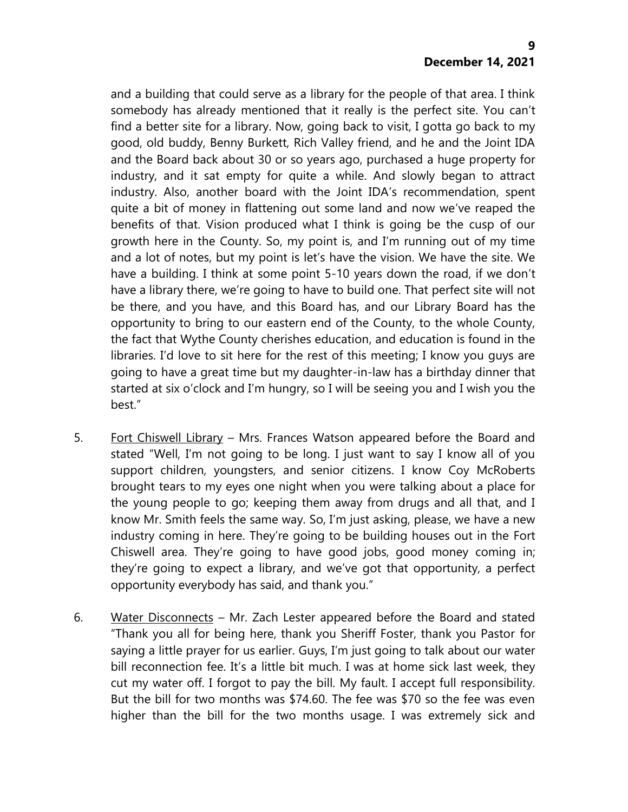and a building that could serve as a library for the people of that area. I think somebody has already mentioned that it really is the perfect site. You can't find a better site for a library. Now, going back to visit, I gotta go back to my good, old buddy, Benny Burkett, Rich Valley friend, and he and the Joint IDA and the Board back about 30 or so years ago, purchased a huge property for industry, and it sat empty for quite a while. And slowly began to attract industry. Also, another board with the Joint IDA's recommendation, spent quite a bit of money in flattening out some land and now we've reaped the benefits of that. Vision produced what I think is going be the cusp of our growth here in the County. So, my point is, and I'm running out of my time and a lot of notes, but my point is let's have the vision. We have the site. We have a building. I think at some point 5-10 years down the road, if we don't have a library there, we're going to have to build one. That perfect site will not be there, and you have, and this Board has, and our Library Board has the opportunity to bring to our eastern end of the County, to the whole County, the fact that Wythe County cherishes education, and education is found in the libraries. I'd love to sit here for the rest of this meeting; I know you guys are going to have a great time but my daughter-in-law has a birthday dinner that started at six o'clock and I'm hungry, so I will be seeing you and I wish you the best."

- 5. Fort Chiswell Library Mrs. Frances Watson appeared before the Board and stated "Well, I'm not going to be long. I just want to say I know all of you support children, youngsters, and senior citizens. I know Coy McRoberts brought tears to my eyes one night when you were talking about a place for the young people to go; keeping them away from drugs and all that, and I know Mr. Smith feels the same way. So, I'm just asking, please, we have a new industry coming in here. They're going to be building houses out in the Fort Chiswell area. They're going to have good jobs, good money coming in; they're going to expect a library, and we've got that opportunity, a perfect opportunity everybody has said, and thank you."
- 6. Water Disconnects Mr. Zach Lester appeared before the Board and stated "Thank you all for being here, thank you Sheriff Foster, thank you Pastor for saying a little prayer for us earlier. Guys, I'm just going to talk about our water bill reconnection fee. It's a little bit much. I was at home sick last week, they cut my water off. I forgot to pay the bill. My fault. I accept full responsibility. But the bill for two months was \$74.60. The fee was \$70 so the fee was even higher than the bill for the two months usage. I was extremely sick and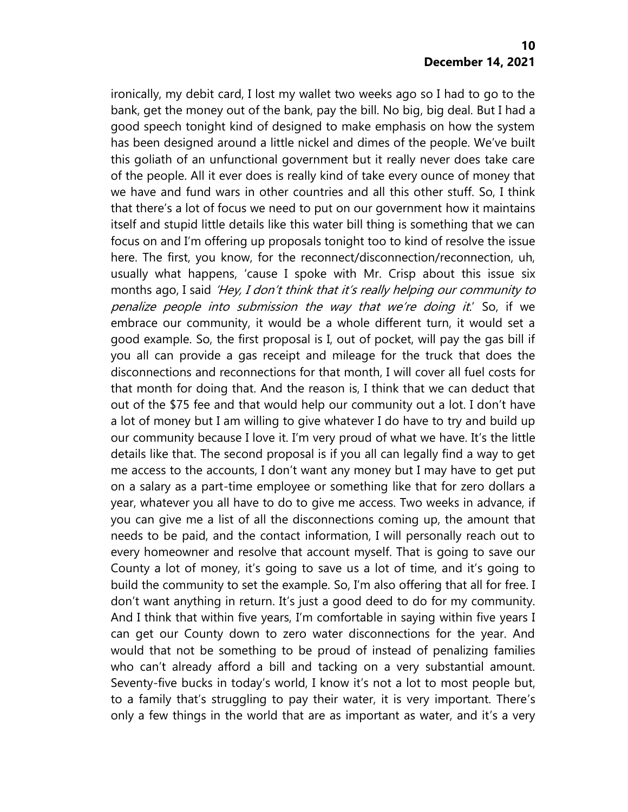ironically, my debit card, I lost my wallet two weeks ago so I had to go to the bank, get the money out of the bank, pay the bill. No big, big deal. But I had a good speech tonight kind of designed to make emphasis on how the system has been designed around a little nickel and dimes of the people. We've built this goliath of an unfunctional government but it really never does take care of the people. All it ever does is really kind of take every ounce of money that we have and fund wars in other countries and all this other stuff. So, I think that there's a lot of focus we need to put on our government how it maintains itself and stupid little details like this water bill thing is something that we can focus on and I'm offering up proposals tonight too to kind of resolve the issue here. The first, you know, for the reconnect/disconnection/reconnection, uh, usually what happens, 'cause I spoke with Mr. Crisp about this issue six months ago, I said 'Hey, I don't think that it's really helping our community to penalize people into submission the way that we're doing it.' So, if we embrace our community, it would be a whole different turn, it would set a good example. So, the first proposal is I, out of pocket, will pay the gas bill if you all can provide a gas receipt and mileage for the truck that does the disconnections and reconnections for that month, I will cover all fuel costs for that month for doing that. And the reason is, I think that we can deduct that out of the \$75 fee and that would help our community out a lot. I don't have a lot of money but I am willing to give whatever I do have to try and build up our community because I love it. I'm very proud of what we have. It's the little details like that. The second proposal is if you all can legally find a way to get me access to the accounts, I don't want any money but I may have to get put on a salary as a part-time employee or something like that for zero dollars a year, whatever you all have to do to give me access. Two weeks in advance, if you can give me a list of all the disconnections coming up, the amount that needs to be paid, and the contact information, I will personally reach out to every homeowner and resolve that account myself. That is going to save our County a lot of money, it's going to save us a lot of time, and it's going to build the community to set the example. So, I'm also offering that all for free. I don't want anything in return. It's just a good deed to do for my community. And I think that within five years, I'm comfortable in saying within five years I can get our County down to zero water disconnections for the year. And would that not be something to be proud of instead of penalizing families who can't already afford a bill and tacking on a very substantial amount. Seventy-five bucks in today's world, I know it's not a lot to most people but, to a family that's struggling to pay their water, it is very important. There's only a few things in the world that are as important as water, and it's a very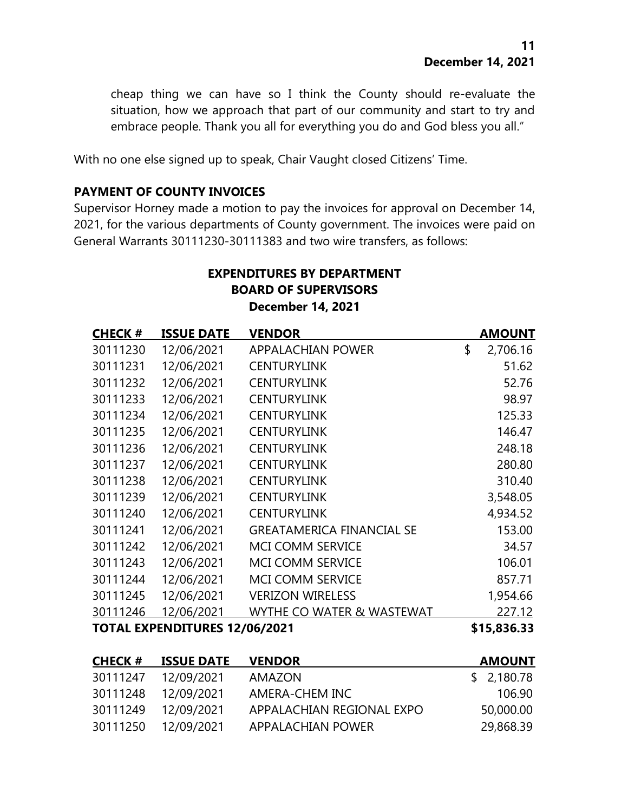cheap thing we can have so I think the County should re-evaluate the situation, how we approach that part of our community and start to try and embrace people. Thank you all for everything you do and God bless you all."

With no one else signed up to speak, Chair Vaught closed Citizens' Time.

#### **PAYMENT OF COUNTY INVOICES**

Supervisor Horney made a motion to pay the invoices for approval on December 14, 2021, for the various departments of County government. The invoices were paid on General Warrants 30111230-30111383 and two wire transfers, as follows:

# **EXPENDITURES BY DEPARTMENT BOARD OF SUPERVISORS December 14, 2021**

| <b>CHECK#</b>                        | <b>ISSUE DATE</b> | <b>VENDOR</b>                    | <b>AMOUNT</b>  |
|--------------------------------------|-------------------|----------------------------------|----------------|
| 30111230                             | 12/06/2021        | <b>APPALACHIAN POWER</b>         | \$<br>2,706.16 |
| 30111231                             | 12/06/2021        | <b>CENTURYLINK</b>               | 51.62          |
| 30111232                             | 12/06/2021        | <b>CENTURYLINK</b>               | 52.76          |
| 30111233                             | 12/06/2021        | <b>CENTURYLINK</b>               | 98.97          |
| 30111234                             | 12/06/2021        | <b>CENTURYLINK</b>               | 125.33         |
| 30111235                             | 12/06/2021        | <b>CENTURYLINK</b>               | 146.47         |
| 30111236                             | 12/06/2021        | <b>CENTURYLINK</b>               | 248.18         |
| 30111237                             | 12/06/2021        | <b>CENTURYLINK</b>               | 280.80         |
| 30111238                             | 12/06/2021        | <b>CENTURYLINK</b>               | 310.40         |
| 30111239                             | 12/06/2021        | <b>CENTURYLINK</b>               | 3,548.05       |
| 30111240                             | 12/06/2021        | <b>CENTURYLINK</b>               | 4,934.52       |
| 30111241                             | 12/06/2021        | <b>GREATAMERICA FINANCIAL SE</b> | 153.00         |
| 30111242                             | 12/06/2021        | MCI COMM SERVICE                 | 34.57          |
| 30111243                             | 12/06/2021        | MCI COMM SERVICE                 | 106.01         |
| 30111244                             | 12/06/2021        | MCI COMM SERVICE                 | 857.71         |
| 30111245                             | 12/06/2021        | <b>VERIZON WIRELESS</b>          | 1,954.66       |
| 30111246                             | 12/06/2021        | WYTHE CO WATER & WASTEWAT        | 227.12         |
| <b>TOTAL EXPENDITURES 12/06/2021</b> |                   |                                  | \$15,836.33    |
| <b>CHECK#</b>                        | <b>ISSUE DATE</b> | <b>VENDOR</b>                    | <b>AMOUNT</b>  |
| 30111247                             | 12/09/2021        | <b>AMAZON</b>                    | \$<br>2,180.78 |
| 30111248                             | 12/09/2021        | <b>AMERA-CHEM INC</b>            | 106.90         |

30111249 12/09/2021 APPALACHIAN REGIONAL EXPO 50,000.00 30111250 12/09/2021 APPALACHIAN POWER 29,868.39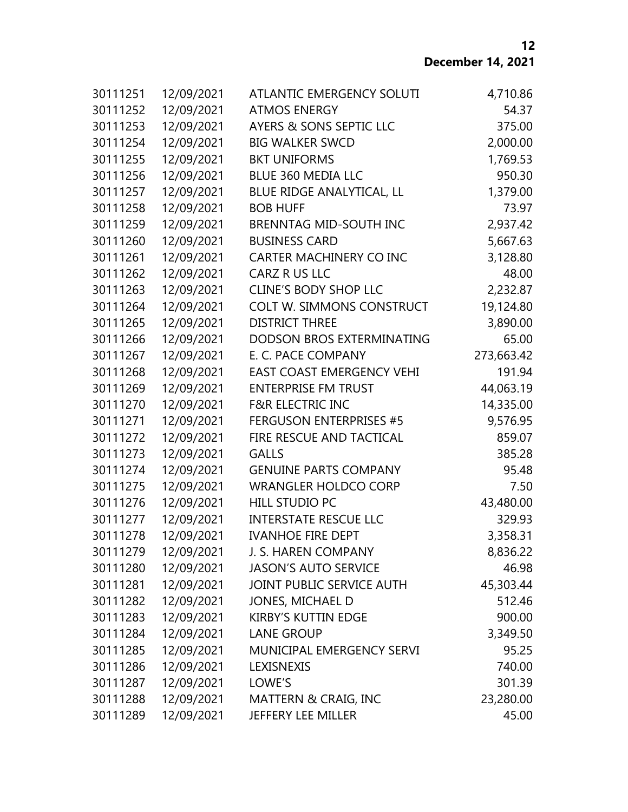**December 14, 2021**

| 30111251             | 12/09/2021               | ATLANTIC EMERGENCY SOLUTI<br><b>ATMOS ENERGY</b>                 | 4,710.86              |
|----------------------|--------------------------|------------------------------------------------------------------|-----------------------|
| 30111252<br>30111253 | 12/09/2021               | AYERS & SONS SEPTIC LLC                                          | 54.37<br>375.00       |
|                      | 12/09/2021               | <b>BIG WALKER SWCD</b>                                           |                       |
| 30111254<br>30111255 | 12/09/2021<br>12/09/2021 | <b>BKT UNIFORMS</b>                                              | 2,000.00<br>1,769.53  |
| 30111256             |                          | <b>BLUE 360 MEDIA LLC</b>                                        | 950.30                |
| 30111257             | 12/09/2021               |                                                                  |                       |
|                      | 12/09/2021               | BLUE RIDGE ANALYTICAL, LL                                        | 1,379.00<br>73.97     |
| 30111258<br>30111259 | 12/09/2021               | <b>BOB HUFF</b>                                                  |                       |
| 30111260             | 12/09/2021<br>12/09/2021 | <b>BRENNTAG MID-SOUTH INC</b><br><b>BUSINESS CARD</b>            | 2,937.42              |
|                      |                          |                                                                  | 5,667.63              |
| 30111261             | 12/09/2021               | <b>CARTER MACHINERY CO INC</b>                                   | 3,128.80<br>48.00     |
| 30111262             | 12/09/2021               | CARZ R US LLC                                                    |                       |
| 30111263<br>30111264 | 12/09/2021               | <b>CLINE'S BODY SHOP LLC</b><br><b>COLT W. SIMMONS CONSTRUCT</b> | 2,232.87<br>19,124.80 |
|                      | 12/09/2021               | <b>DISTRICT THREE</b>                                            | 3,890.00              |
| 30111265             | 12/09/2021               |                                                                  |                       |
| 30111266             | 12/09/2021               | DODSON BROS EXTERMINATING<br>E. C. PACE COMPANY                  | 65.00                 |
| 30111267<br>30111268 | 12/09/2021               |                                                                  | 273,663.42            |
|                      | 12/09/2021               | <b>EAST COAST EMERGENCY VEHI</b>                                 | 191.94                |
| 30111269             | 12/09/2021               | <b>ENTERPRISE FM TRUST</b>                                       | 44,063.19             |
| 30111270             | 12/09/2021               | <b>F&amp;R ELECTRIC INC</b>                                      | 14,335.00             |
| 30111271             | 12/09/2021               | <b>FERGUSON ENTERPRISES #5</b>                                   | 9,576.95              |
| 30111272             | 12/09/2021               | FIRE RESCUE AND TACTICAL                                         | 859.07                |
| 30111273             | 12/09/2021               | <b>GALLS</b>                                                     | 385.28                |
| 30111274             | 12/09/2021               | <b>GENUINE PARTS COMPANY</b>                                     | 95.48                 |
| 30111275             | 12/09/2021               | <b>WRANGLER HOLDCO CORP</b>                                      | 7.50                  |
| 30111276             | 12/09/2021               | <b>HILL STUDIO PC</b>                                            | 43,480.00             |
| 30111277             | 12/09/2021               | <b>INTERSTATE RESCUE LLC</b>                                     | 329.93                |
| 30111278             | 12/09/2021               | <b>IVANHOE FIRE DEPT</b>                                         | 3,358.31              |
| 30111279             | 12/09/2021               | J. S. HAREN COMPANY                                              | 8,836.22              |
| 30111280             | 12/09/2021               | <b>JASON'S AUTO SERVICE</b>                                      | 46.98                 |
| 30111281             | 12/09/2021               | JOINT PUBLIC SERVICE AUTH                                        | 45,303.44             |
| 30111282             | 12/09/2021               | JONES, MICHAEL D                                                 | 512.46                |
| 30111283             | 12/09/2021               | <b>KIRBY'S KUTTIN EDGE</b>                                       | 900.00                |
| 30111284             | 12/09/2021               | <b>LANE GROUP</b>                                                | 3,349.50              |
| 30111285             | 12/09/2021               | MUNICIPAL EMERGENCY SERVI                                        | 95.25                 |
| 30111286             | 12/09/2021               | LEXISNEXIS                                                       | 740.00                |
| 30111287             | 12/09/2021               | LOWE'S                                                           | 301.39                |
| 30111288             | 12/09/2021               | MATTERN & CRAIG, INC                                             | 23,280.00             |
| 30111289             | 12/09/2021               | JEFFERY LEE MILLER                                               | 45.00                 |

####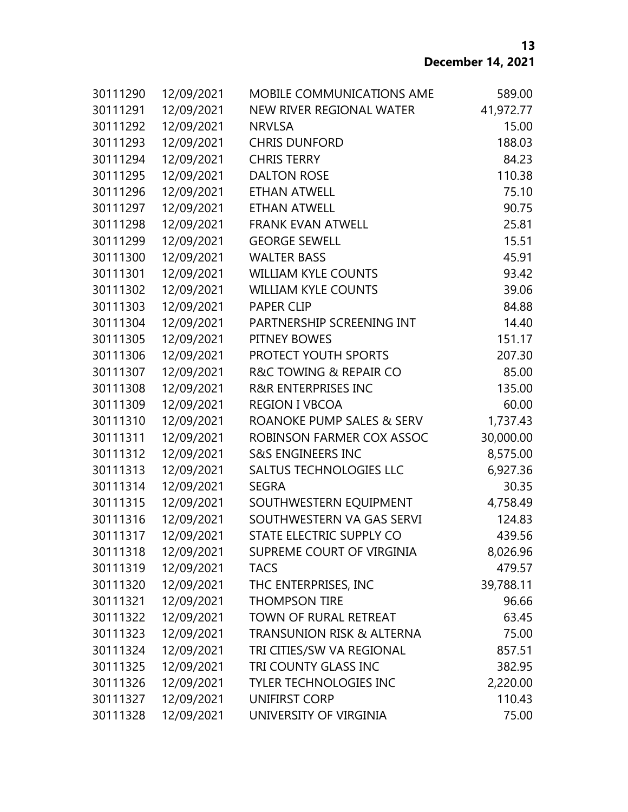| 30111290 | 12/09/2021 | MOBILE COMMUNICATIONS AME            | 589.00    |
|----------|------------|--------------------------------------|-----------|
| 30111291 | 12/09/2021 | NEW RIVER REGIONAL WATER             | 41,972.77 |
| 30111292 | 12/09/2021 | <b>NRVLSA</b>                        | 15.00     |
| 30111293 | 12/09/2021 | <b>CHRIS DUNFORD</b>                 | 188.03    |
| 30111294 | 12/09/2021 | <b>CHRIS TERRY</b>                   | 84.23     |
| 30111295 | 12/09/2021 | <b>DALTON ROSE</b>                   | 110.38    |
| 30111296 | 12/09/2021 | <b>ETHAN ATWELL</b>                  | 75.10     |
| 30111297 | 12/09/2021 | <b>ETHAN ATWELL</b>                  | 90.75     |
| 30111298 | 12/09/2021 | <b>FRANK EVAN ATWELL</b>             | 25.81     |
| 30111299 | 12/09/2021 | <b>GEORGE SEWELL</b>                 | 15.51     |
| 30111300 | 12/09/2021 | <b>WALTER BASS</b>                   | 45.91     |
| 30111301 | 12/09/2021 | <b>WILLIAM KYLE COUNTS</b>           | 93.42     |
| 30111302 | 12/09/2021 | <b>WILLIAM KYLE COUNTS</b>           | 39.06     |
| 30111303 | 12/09/2021 | <b>PAPER CLIP</b>                    | 84.88     |
| 30111304 | 12/09/2021 | PARTNERSHIP SCREENING INT            | 14.40     |
| 30111305 | 12/09/2021 | PITNEY BOWES                         | 151.17    |
| 30111306 | 12/09/2021 | PROTECT YOUTH SPORTS                 | 207.30    |
| 30111307 | 12/09/2021 | R&C TOWING & REPAIR CO               | 85.00     |
| 30111308 | 12/09/2021 | <b>R&amp;R ENTERPRISES INC</b>       | 135.00    |
| 30111309 | 12/09/2021 | <b>REGION I VBCOA</b>                | 60.00     |
| 30111310 | 12/09/2021 | ROANOKE PUMP SALES & SERV            | 1,737.43  |
| 30111311 | 12/09/2021 | ROBINSON FARMER COX ASSOC            | 30,000.00 |
| 30111312 | 12/09/2021 | <b>S&amp;S ENGINEERS INC</b>         | 8,575.00  |
| 30111313 | 12/09/2021 | <b>SALTUS TECHNOLOGIES LLC</b>       | 6,927.36  |
| 30111314 | 12/09/2021 | <b>SEGRA</b>                         | 30.35     |
| 30111315 | 12/09/2021 | SOUTHWESTERN EQUIPMENT               | 4,758.49  |
| 30111316 | 12/09/2021 | SOUTHWESTERN VA GAS SERVI            | 124.83    |
| 30111317 | 12/09/2021 | STATE ELECTRIC SUPPLY CO             | 439.56    |
| 30111318 | 12/09/2021 | SUPREME COURT OF VIRGINIA            | 8,026.96  |
| 30111319 | 12/09/2021 | <b>TACS</b>                          | 479.57    |
| 30111320 | 12/09/2021 | THC ENTERPRISES, INC                 | 39,788.11 |
| 30111321 | 12/09/2021 | <b>THOMPSON TIRE</b>                 | 96.66     |
| 30111322 | 12/09/2021 | TOWN OF RURAL RETREAT                | 63.45     |
| 30111323 | 12/09/2021 | <b>TRANSUNION RISK &amp; ALTERNA</b> | 75.00     |
| 30111324 | 12/09/2021 | TRI CITIES/SW VA REGIONAL            | 857.51    |
| 30111325 | 12/09/2021 | TRI COUNTY GLASS INC                 | 382.95    |
| 30111326 | 12/09/2021 | <b>TYLER TECHNOLOGIES INC</b>        | 2,220.00  |
| 30111327 | 12/09/2021 | UNIFIRST CORP                        | 110.43    |
| 30111328 | 12/09/2021 | UNIVERSITY OF VIRGINIA               | 75.00     |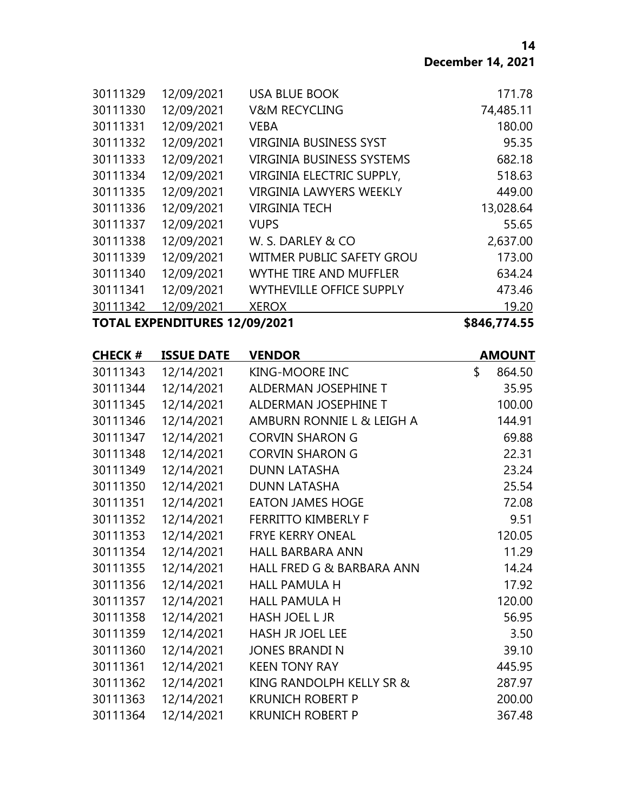| 30111329                             | 12/09/2021 | <b>USA BLUE BOOK</b>             | 171.78       |
|--------------------------------------|------------|----------------------------------|--------------|
| 30111330                             | 12/09/2021 | <b>V&amp;M RECYCLING</b>         | 74,485.11    |
| 30111331                             | 12/09/2021 | <b>VEBA</b>                      | 180.00       |
| 30111332                             | 12/09/2021 | <b>VIRGINIA BUSINESS SYST</b>    | 95.35        |
| 30111333                             | 12/09/2021 | <b>VIRGINIA BUSINESS SYSTEMS</b> | 682.18       |
| 30111334                             | 12/09/2021 | VIRGINIA ELECTRIC SUPPLY,        | 518.63       |
| 30111335                             | 12/09/2021 | <b>VIRGINIA LAWYERS WEEKLY</b>   | 449.00       |
| 30111336                             | 12/09/2021 | <b>VIRGINIA TECH</b>             | 13,028.64    |
| 30111337                             | 12/09/2021 | <b>VUPS</b>                      | 55.65        |
| 30111338                             | 12/09/2021 | W. S. DARLEY & CO                | 2,637.00     |
| 30111339                             | 12/09/2021 | WITMER PUBLIC SAFETY GROU        | 173.00       |
| 30111340                             | 12/09/2021 | <b>WYTHE TIRE AND MUFFLER</b>    | 634.24       |
| 30111341                             | 12/09/2021 | <b>WYTHEVILLE OFFICE SUPPLY</b>  | 473.46       |
| 30111342                             | 12/09/2021 | <b>XEROX</b>                     | 19.20        |
| <b>TOTAL EXPENDITURES 12/09/2021</b> |            |                                  | \$846,774.55 |

| <b>CHECK#</b> | <b>ISSUE DATE</b> | <b>VENDOR</b>              | <b>AMOUNT</b> |
|---------------|-------------------|----------------------------|---------------|
| 30111343      | 12/14/2021        | KING-MOORE INC             | \$<br>864.50  |
| 30111344      | 12/14/2021        | ALDERMAN JOSEPHINE T       | 35.95         |
| 30111345      | 12/14/2021        | ALDERMAN JOSEPHINE T       | 100.00        |
| 30111346      | 12/14/2021        | AMBURN RONNIE L & LEIGH A  | 144.91        |
| 30111347      | 12/14/2021        | <b>CORVIN SHARON G</b>     | 69.88         |
| 30111348      | 12/14/2021        | <b>CORVIN SHARON G</b>     | 22.31         |
| 30111349      | 12/14/2021        | <b>DUNN LATASHA</b>        | 23.24         |
| 30111350      | 12/14/2021        | <b>DUNN LATASHA</b>        | 25.54         |
| 30111351      | 12/14/2021        | <b>EATON JAMES HOGE</b>    | 72.08         |
| 30111352      | 12/14/2021        | <b>FERRITTO KIMBERLY F</b> | 9.51          |
| 30111353      | 12/14/2021        | <b>FRYE KERRY ONEAL</b>    | 120.05        |
| 30111354      | 12/14/2021        | <b>HALL BARBARA ANN</b>    | 11.29         |
| 30111355      | 12/14/2021        | HALL FRED G & BARBARA ANN  | 14.24         |
| 30111356      | 12/14/2021        | <b>HALL PAMULA H</b>       | 17.92         |
| 30111357      | 12/14/2021        | <b>HALL PAMULA H</b>       | 120.00        |
| 30111358      | 12/14/2021        | HASH JOEL L JR             | 56.95         |
| 30111359      | 12/14/2021        | <b>HASH JR JOEL LEE</b>    | 3.50          |
| 30111360      | 12/14/2021        | <b>JONES BRANDI N</b>      | 39.10         |
| 30111361      | 12/14/2021        | <b>KEEN TONY RAY</b>       | 445.95        |
| 30111362      | 12/14/2021        | KING RANDOLPH KELLY SR &   | 287.97        |
| 30111363      | 12/14/2021        | <b>KRUNICH ROBERT P</b>    | 200.00        |
| 30111364      | 12/14/2021        | <b>KRUNICH ROBERT P</b>    | 367.48        |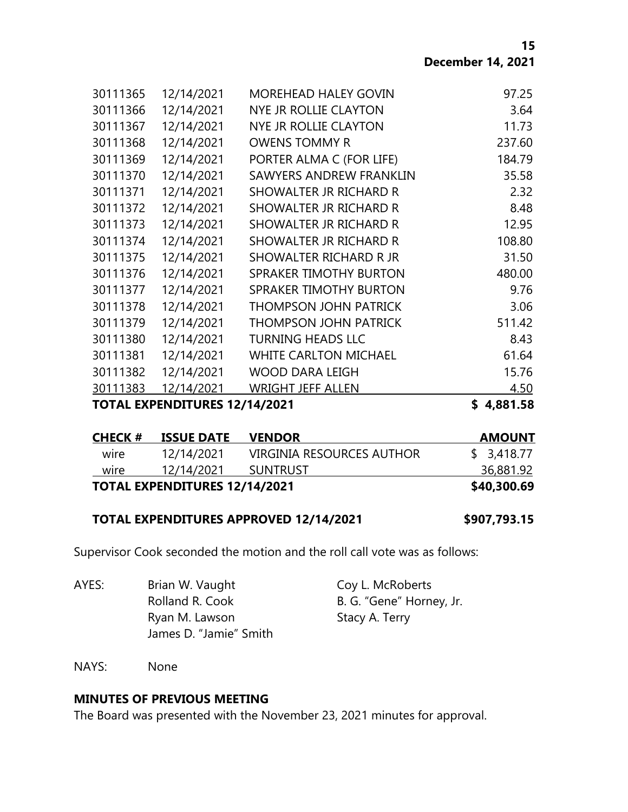**15 December 14, 2021**

| TOTAL EXPENDITURES 12/14/2021 |            |                               | \$<br>4,881.58 |
|-------------------------------|------------|-------------------------------|----------------|
| 30111383                      | 12/14/2021 | <b>WRIGHT JEFF ALLEN</b>      | 4.50           |
| 30111382                      | 12/14/2021 | <b>WOOD DARA LEIGH</b>        | 15.76          |
| 30111381                      | 12/14/2021 | <b>WHITE CARLTON MICHAEL</b>  | 61.64          |
| 30111380                      | 12/14/2021 | <b>TURNING HEADS LLC</b>      | 8.43           |
| 30111379                      | 12/14/2021 | <b>THOMPSON JOHN PATRICK</b>  | 511.42         |
| 30111378                      | 12/14/2021 | <b>THOMPSON JOHN PATRICK</b>  | 3.06           |
| 30111377                      | 12/14/2021 | SPRAKER TIMOTHY BURTON        | 9.76           |
| 30111376                      | 12/14/2021 | <b>SPRAKER TIMOTHY BURTON</b> | 480.00         |
| 30111375                      | 12/14/2021 | SHOWALTER RICHARD R JR        | 31.50          |
| 30111374                      | 12/14/2021 | SHOWALTER JR RICHARD R        | 108.80         |
| 30111373                      | 12/14/2021 | SHOWALTER JR RICHARD R        | 12.95          |
| 30111372                      | 12/14/2021 | SHOWALTER JR RICHARD R        | 8.48           |
| 30111371                      | 12/14/2021 | SHOWALTER JR RICHARD R        | 2.32           |
| 30111370                      | 12/14/2021 | SAWYERS ANDREW FRANKLIN       | 35.58          |
| 30111369                      | 12/14/2021 | PORTER ALMA C (FOR LIFE)      | 184.79         |
| 30111368                      | 12/14/2021 | <b>OWENS TOMMY R</b>          | 237.60         |
| 30111367                      | 12/14/2021 | NYE JR ROLLIE CLAYTON         | 11.73          |
| 30111366                      | 12/14/2021 | NYE JR ROLLIE CLAYTON         | 3.64           |
| 30111365                      | 12/14/2021 | <b>MOREHEAD HALEY GOVIN</b>   | 97.25          |
|                               |            |                               |                |

| CHECK #                              | <b>ISSUE DATE</b> | <b>VENDOR</b>             | <b>AMOUNT</b> |
|--------------------------------------|-------------------|---------------------------|---------------|
| wire                                 | 12/14/2021        | VIRGINIA RESOURCES AUTHOR | \$3,418.77    |
| wire                                 | 12/14/2021        | <b>SUNTRUST</b>           | 36,881.92     |
| <b>TOTAL EXPENDITURES 12/14/2021</b> |                   |                           | \$40,300.69   |

#### **TOTAL EXPENDITURES APPROVED 12/14/2021 \$907,793.15**

Supervisor Cook seconded the motion and the roll call vote was as follows:

AYES: Brian W. Vaught Coy L. McRoberts Rolland R. Cook B. G. "Gene" Horney, Jr. Ryan M. Lawson Stacy A. Terry James D. "Jamie" Smith

NAYS: None

#### **MINUTES OF PREVIOUS MEETING**

The Board was presented with the November 23, 2021 minutes for approval.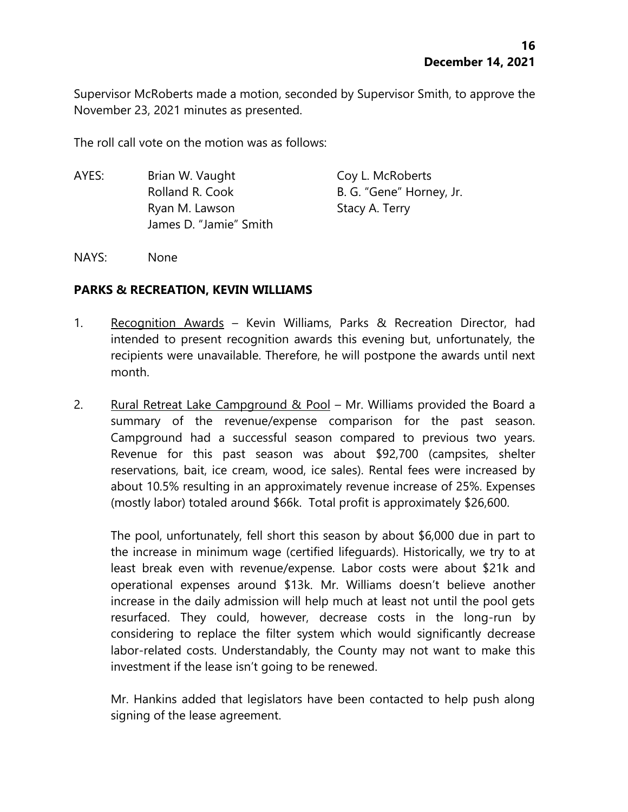Supervisor McRoberts made a motion, seconded by Supervisor Smith, to approve the November 23, 2021 minutes as presented.

The roll call vote on the motion was as follows:

AYES: Brian W. Vaught Coy L. McRoberts Rolland R. Cook B. G. "Gene" Horney, Jr. Ryan M. Lawson Stacy A. Terry James D. "Jamie" Smith

NAYS: None

#### **PARKS & RECREATION, KEVIN WILLIAMS**

- 1. Recognition Awards Kevin Williams, Parks & Recreation Director, had intended to present recognition awards this evening but, unfortunately, the recipients were unavailable. Therefore, he will postpone the awards until next month.
- 2. Rural Retreat Lake Campground  $\&$  Pool Mr. Williams provided the Board a summary of the revenue/expense comparison for the past season. Campground had a successful season compared to previous two years. Revenue for this past season was about \$92,700 (campsites, shelter reservations, bait, ice cream, wood, ice sales). Rental fees were increased by about 10.5% resulting in an approximately revenue increase of 25%. Expenses (mostly labor) totaled around \$66k. Total profit is approximately \$26,600.

The pool, unfortunately, fell short this season by about \$6,000 due in part to the increase in minimum wage (certified lifeguards). Historically, we try to at least break even with revenue/expense. Labor costs were about \$21k and operational expenses around \$13k. Mr. Williams doesn't believe another increase in the daily admission will help much at least not until the pool gets resurfaced. They could, however, decrease costs in the long-run by considering to replace the filter system which would significantly decrease labor-related costs. Understandably, the County may not want to make this investment if the lease isn't going to be renewed.

Mr. Hankins added that legislators have been contacted to help push along signing of the lease agreement.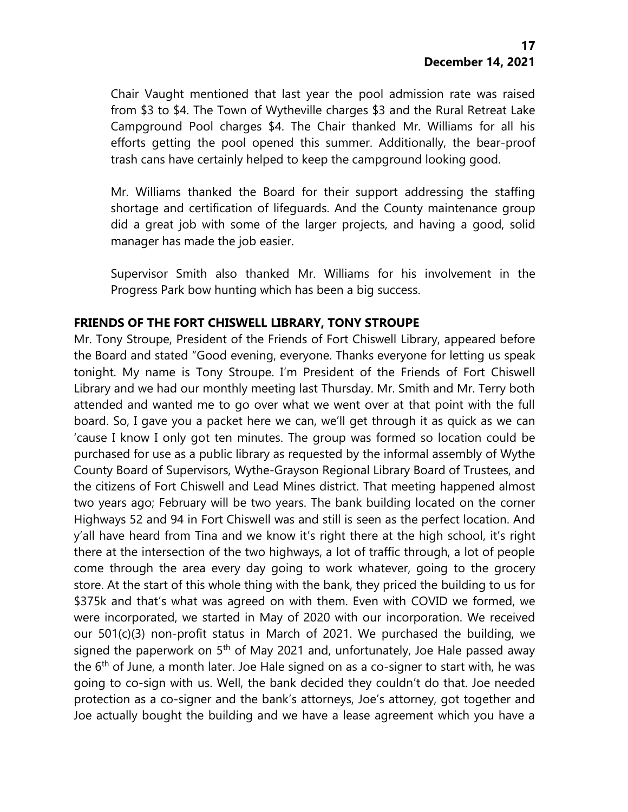Chair Vaught mentioned that last year the pool admission rate was raised from \$3 to \$4. The Town of Wytheville charges \$3 and the Rural Retreat Lake Campground Pool charges \$4. The Chair thanked Mr. Williams for all his efforts getting the pool opened this summer. Additionally, the bear-proof trash cans have certainly helped to keep the campground looking good.

Mr. Williams thanked the Board for their support addressing the staffing shortage and certification of lifeguards. And the County maintenance group did a great job with some of the larger projects, and having a good, solid manager has made the job easier.

Supervisor Smith also thanked Mr. Williams for his involvement in the Progress Park bow hunting which has been a big success.

# **FRIENDS OF THE FORT CHISWELL LIBRARY, TONY STROUPE**

Mr. Tony Stroupe, President of the Friends of Fort Chiswell Library, appeared before the Board and stated "Good evening, everyone. Thanks everyone for letting us speak tonight. My name is Tony Stroupe. I'm President of the Friends of Fort Chiswell Library and we had our monthly meeting last Thursday. Mr. Smith and Mr. Terry both attended and wanted me to go over what we went over at that point with the full board. So, I gave you a packet here we can, we'll get through it as quick as we can 'cause I know I only got ten minutes. The group was formed so location could be purchased for use as a public library as requested by the informal assembly of Wythe County Board of Supervisors, Wythe-Grayson Regional Library Board of Trustees, and the citizens of Fort Chiswell and Lead Mines district. That meeting happened almost two years ago; February will be two years. The bank building located on the corner Highways 52 and 94 in Fort Chiswell was and still is seen as the perfect location. And y'all have heard from Tina and we know it's right there at the high school, it's right there at the intersection of the two highways, a lot of traffic through, a lot of people come through the area every day going to work whatever, going to the grocery store. At the start of this whole thing with the bank, they priced the building to us for \$375k and that's what was agreed on with them. Even with COVID we formed, we were incorporated, we started in May of 2020 with our incorporation. We received our 501(c)(3) non-profit status in March of 2021. We purchased the building, we signed the paperwork on  $5<sup>th</sup>$  of May 2021 and, unfortunately, Joe Hale passed away the  $6<sup>th</sup>$  of June, a month later. Joe Hale signed on as a co-signer to start with, he was going to co-sign with us. Well, the bank decided they couldn't do that. Joe needed protection as a co-signer and the bank's attorneys, Joe's attorney, got together and Joe actually bought the building and we have a lease agreement which you have a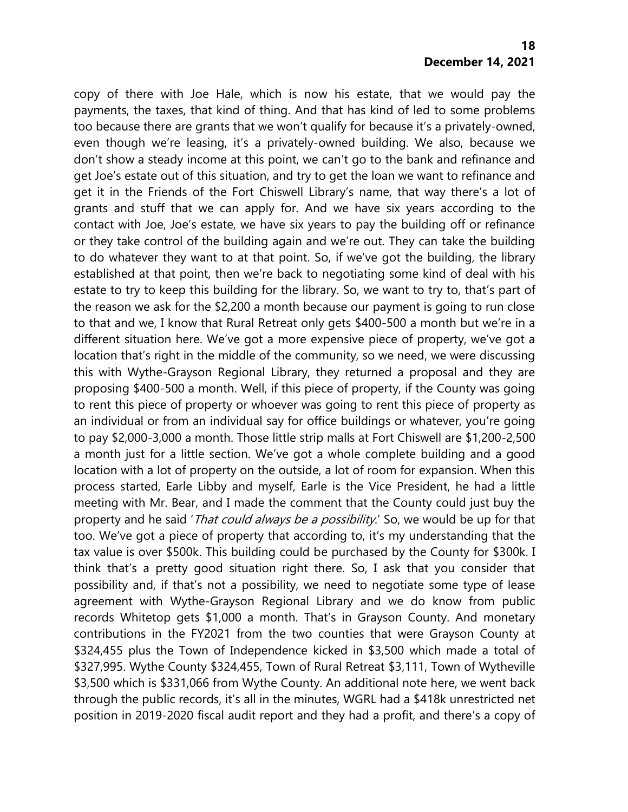copy of there with Joe Hale, which is now his estate, that we would pay the payments, the taxes, that kind of thing. And that has kind of led to some problems too because there are grants that we won't qualify for because it's a privately-owned, even though we're leasing, it's a privately-owned building. We also, because we don't show a steady income at this point, we can't go to the bank and refinance and get Joe's estate out of this situation, and try to get the loan we want to refinance and get it in the Friends of the Fort Chiswell Library's name, that way there's a lot of grants and stuff that we can apply for. And we have six years according to the contact with Joe, Joe's estate, we have six years to pay the building off or refinance or they take control of the building again and we're out. They can take the building to do whatever they want to at that point. So, if we've got the building, the library established at that point, then we're back to negotiating some kind of deal with his estate to try to keep this building for the library. So, we want to try to, that's part of the reason we ask for the \$2,200 a month because our payment is going to run close to that and we, I know that Rural Retreat only gets \$400-500 a month but we're in a different situation here. We've got a more expensive piece of property, we've got a location that's right in the middle of the community, so we need, we were discussing this with Wythe-Grayson Regional Library, they returned a proposal and they are proposing \$400-500 a month. Well, if this piece of property, if the County was going to rent this piece of property or whoever was going to rent this piece of property as an individual or from an individual say for office buildings or whatever, you're going to pay \$2,000-3,000 a month. Those little strip malls at Fort Chiswell are \$1,200-2,500 a month just for a little section. We've got a whole complete building and a good location with a lot of property on the outside, a lot of room for expansion. When this process started, Earle Libby and myself, Earle is the Vice President, he had a little meeting with Mr. Bear, and I made the comment that the County could just buy the property and he said '*That could always be a possibility*.' So, we would be up for that too. We've got a piece of property that according to, it's my understanding that the tax value is over \$500k. This building could be purchased by the County for \$300k. I think that's a pretty good situation right there. So, I ask that you consider that possibility and, if that's not a possibility, we need to negotiate some type of lease agreement with Wythe-Grayson Regional Library and we do know from public records Whitetop gets \$1,000 a month. That's in Grayson County. And monetary contributions in the FY2021 from the two counties that were Grayson County at \$324,455 plus the Town of Independence kicked in \$3,500 which made a total of \$327,995. Wythe County \$324,455, Town of Rural Retreat \$3,111, Town of Wytheville \$3,500 which is \$331,066 from Wythe County. An additional note here, we went back through the public records, it's all in the minutes, WGRL had a \$418k unrestricted net position in 2019-2020 fiscal audit report and they had a profit, and there's a copy of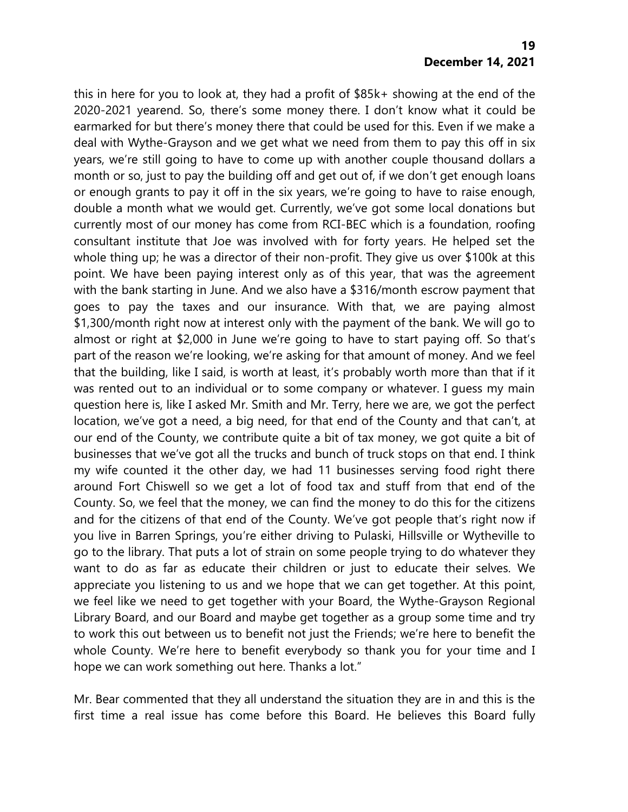this in here for you to look at, they had a profit of \$85k+ showing at the end of the 2020-2021 yearend. So, there's some money there. I don't know what it could be earmarked for but there's money there that could be used for this. Even if we make a deal with Wythe-Grayson and we get what we need from them to pay this off in six years, we're still going to have to come up with another couple thousand dollars a month or so, just to pay the building off and get out of, if we don't get enough loans or enough grants to pay it off in the six years, we're going to have to raise enough, double a month what we would get. Currently, we've got some local donations but currently most of our money has come from RCI-BEC which is a foundation, roofing consultant institute that Joe was involved with for forty years. He helped set the whole thing up; he was a director of their non-profit. They give us over \$100k at this point. We have been paying interest only as of this year, that was the agreement with the bank starting in June. And we also have a \$316/month escrow payment that goes to pay the taxes and our insurance. With that, we are paying almost \$1,300/month right now at interest only with the payment of the bank. We will go to almost or right at \$2,000 in June we're going to have to start paying off. So that's part of the reason we're looking, we're asking for that amount of money. And we feel that the building, like I said, is worth at least, it's probably worth more than that if it was rented out to an individual or to some company or whatever. I guess my main question here is, like I asked Mr. Smith and Mr. Terry, here we are, we got the perfect location, we've got a need, a big need, for that end of the County and that can't, at our end of the County, we contribute quite a bit of tax money, we got quite a bit of businesses that we've got all the trucks and bunch of truck stops on that end. I think my wife counted it the other day, we had 11 businesses serving food right there around Fort Chiswell so we get a lot of food tax and stuff from that end of the County. So, we feel that the money, we can find the money to do this for the citizens and for the citizens of that end of the County. We've got people that's right now if you live in Barren Springs, you're either driving to Pulaski, Hillsville or Wytheville to go to the library. That puts a lot of strain on some people trying to do whatever they want to do as far as educate their children or just to educate their selves. We appreciate you listening to us and we hope that we can get together. At this point, we feel like we need to get together with your Board, the Wythe-Grayson Regional Library Board, and our Board and maybe get together as a group some time and try to work this out between us to benefit not just the Friends; we're here to benefit the whole County. We're here to benefit everybody so thank you for your time and I hope we can work something out here. Thanks a lot."

Mr. Bear commented that they all understand the situation they are in and this is the first time a real issue has come before this Board. He believes this Board fully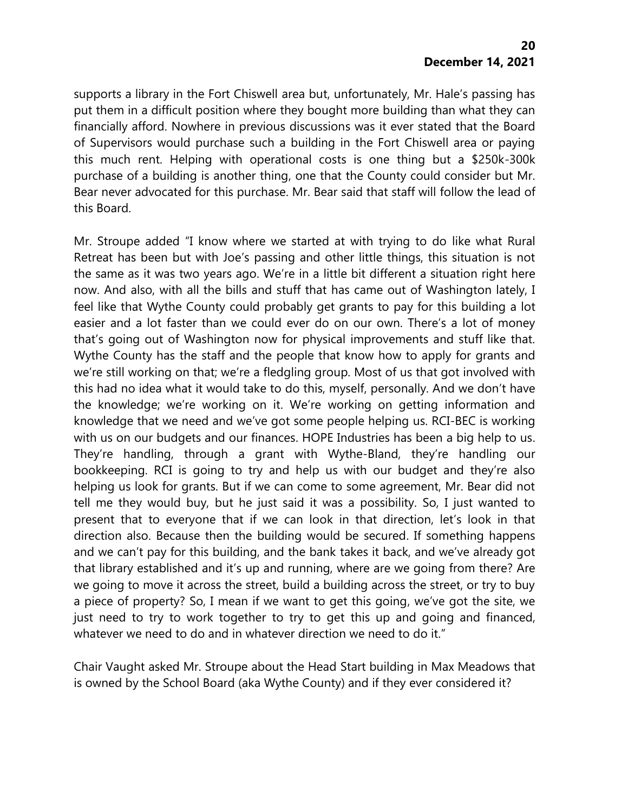supports a library in the Fort Chiswell area but, unfortunately, Mr. Hale's passing has put them in a difficult position where they bought more building than what they can financially afford. Nowhere in previous discussions was it ever stated that the Board of Supervisors would purchase such a building in the Fort Chiswell area or paying this much rent. Helping with operational costs is one thing but a \$250k-300k purchase of a building is another thing, one that the County could consider but Mr. Bear never advocated for this purchase. Mr. Bear said that staff will follow the lead of this Board.

Mr. Stroupe added "I know where we started at with trying to do like what Rural Retreat has been but with Joe's passing and other little things, this situation is not the same as it was two years ago. We're in a little bit different a situation right here now. And also, with all the bills and stuff that has came out of Washington lately, I feel like that Wythe County could probably get grants to pay for this building a lot easier and a lot faster than we could ever do on our own. There's a lot of money that's going out of Washington now for physical improvements and stuff like that. Wythe County has the staff and the people that know how to apply for grants and we're still working on that; we're a fledgling group. Most of us that got involved with this had no idea what it would take to do this, myself, personally. And we don't have the knowledge; we're working on it. We're working on getting information and knowledge that we need and we've got some people helping us. RCI-BEC is working with us on our budgets and our finances. HOPE Industries has been a big help to us. They're handling, through a grant with Wythe-Bland, they're handling our bookkeeping. RCI is going to try and help us with our budget and they're also helping us look for grants. But if we can come to some agreement, Mr. Bear did not tell me they would buy, but he just said it was a possibility. So, I just wanted to present that to everyone that if we can look in that direction, let's look in that direction also. Because then the building would be secured. If something happens and we can't pay for this building, and the bank takes it back, and we've already got that library established and it's up and running, where are we going from there? Are we going to move it across the street, build a building across the street, or try to buy a piece of property? So, I mean if we want to get this going, we've got the site, we just need to try to work together to try to get this up and going and financed, whatever we need to do and in whatever direction we need to do it."

Chair Vaught asked Mr. Stroupe about the Head Start building in Max Meadows that is owned by the School Board (aka Wythe County) and if they ever considered it?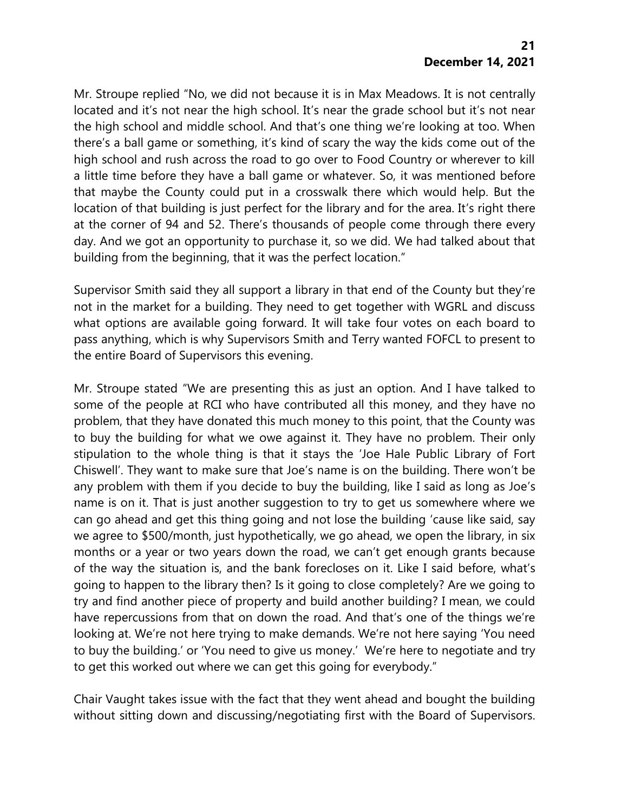Mr. Stroupe replied "No, we did not because it is in Max Meadows. It is not centrally located and it's not near the high school. It's near the grade school but it's not near the high school and middle school. And that's one thing we're looking at too. When there's a ball game or something, it's kind of scary the way the kids come out of the high school and rush across the road to go over to Food Country or wherever to kill a little time before they have a ball game or whatever. So, it was mentioned before that maybe the County could put in a crosswalk there which would help. But the location of that building is just perfect for the library and for the area. It's right there at the corner of 94 and 52. There's thousands of people come through there every day. And we got an opportunity to purchase it, so we did. We had talked about that building from the beginning, that it was the perfect location."

Supervisor Smith said they all support a library in that end of the County but they're not in the market for a building. They need to get together with WGRL and discuss what options are available going forward. It will take four votes on each board to pass anything, which is why Supervisors Smith and Terry wanted FOFCL to present to the entire Board of Supervisors this evening.

Mr. Stroupe stated "We are presenting this as just an option. And I have talked to some of the people at RCI who have contributed all this money, and they have no problem, that they have donated this much money to this point, that the County was to buy the building for what we owe against it. They have no problem. Their only stipulation to the whole thing is that it stays the 'Joe Hale Public Library of Fort Chiswell'. They want to make sure that Joe's name is on the building. There won't be any problem with them if you decide to buy the building, like I said as long as Joe's name is on it. That is just another suggestion to try to get us somewhere where we can go ahead and get this thing going and not lose the building 'cause like said, say we agree to \$500/month, just hypothetically, we go ahead, we open the library, in six months or a year or two years down the road, we can't get enough grants because of the way the situation is, and the bank forecloses on it. Like I said before, what's going to happen to the library then? Is it going to close completely? Are we going to try and find another piece of property and build another building? I mean, we could have repercussions from that on down the road. And that's one of the things we're looking at. We're not here trying to make demands. We're not here saying 'You need to buy the building.' or 'You need to give us money.' We're here to negotiate and try to get this worked out where we can get this going for everybody."

Chair Vaught takes issue with the fact that they went ahead and bought the building without sitting down and discussing/negotiating first with the Board of Supervisors.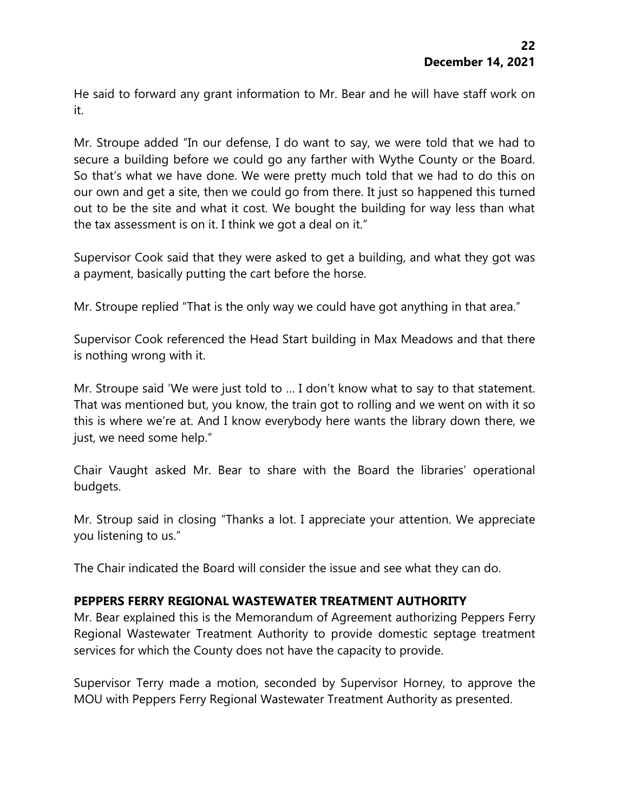He said to forward any grant information to Mr. Bear and he will have staff work on it.

Mr. Stroupe added "In our defense, I do want to say, we were told that we had to secure a building before we could go any farther with Wythe County or the Board. So that's what we have done. We were pretty much told that we had to do this on our own and get a site, then we could go from there. It just so happened this turned out to be the site and what it cost. We bought the building for way less than what the tax assessment is on it. I think we got a deal on it."

Supervisor Cook said that they were asked to get a building, and what they got was a payment, basically putting the cart before the horse.

Mr. Stroupe replied "That is the only way we could have got anything in that area."

Supervisor Cook referenced the Head Start building in Max Meadows and that there is nothing wrong with it.

Mr. Stroupe said 'We were just told to … I don't know what to say to that statement. That was mentioned but, you know, the train got to rolling and we went on with it so this is where we're at. And I know everybody here wants the library down there, we just, we need some help."

Chair Vaught asked Mr. Bear to share with the Board the libraries' operational budgets.

Mr. Stroup said in closing "Thanks a lot. I appreciate your attention. We appreciate you listening to us."

The Chair indicated the Board will consider the issue and see what they can do.

# **PEPPERS FERRY REGIONAL WASTEWATER TREATMENT AUTHORITY**

Mr. Bear explained this is the Memorandum of Agreement authorizing Peppers Ferry Regional Wastewater Treatment Authority to provide domestic septage treatment services for which the County does not have the capacity to provide.

Supervisor Terry made a motion, seconded by Supervisor Horney, to approve the MOU with Peppers Ferry Regional Wastewater Treatment Authority as presented.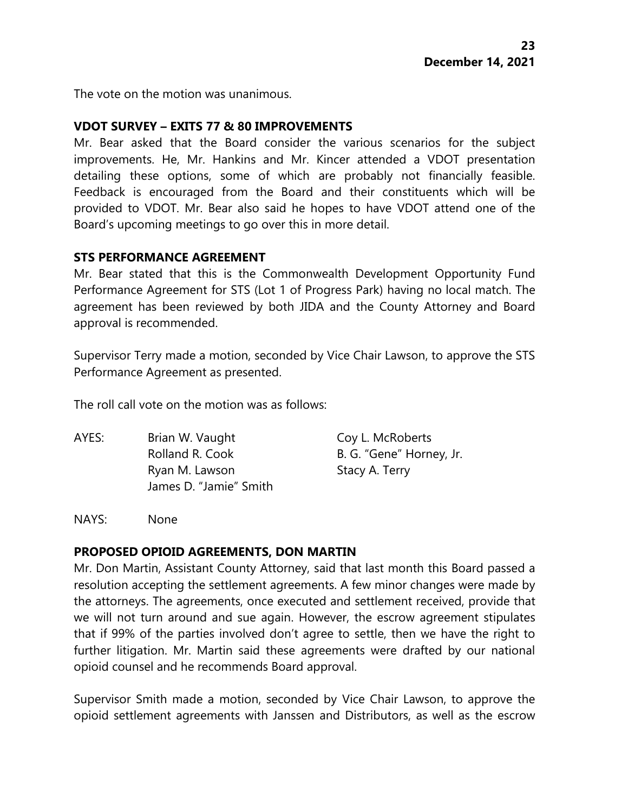The vote on the motion was unanimous.

#### **VDOT SURVEY – EXITS 77 & 80 IMPROVEMENTS**

Mr. Bear asked that the Board consider the various scenarios for the subject improvements. He, Mr. Hankins and Mr. Kincer attended a VDOT presentation detailing these options, some of which are probably not financially feasible. Feedback is encouraged from the Board and their constituents which will be provided to VDOT. Mr. Bear also said he hopes to have VDOT attend one of the Board's upcoming meetings to go over this in more detail.

#### **STS PERFORMANCE AGREEMENT**

Mr. Bear stated that this is the Commonwealth Development Opportunity Fund Performance Agreement for STS (Lot 1 of Progress Park) having no local match. The agreement has been reviewed by both JIDA and the County Attorney and Board approval is recommended.

Supervisor Terry made a motion, seconded by Vice Chair Lawson, to approve the STS Performance Agreement as presented.

The roll call vote on the motion was as follows:

AYES: Brian W. Vaught Coy L. McRoberts Rolland R. Cook B. G. "Gene" Horney, Jr. Ryan M. Lawson Stacy A. Terry James D. "Jamie" Smith

NAYS: None

#### **PROPOSED OPIOID AGREEMENTS, DON MARTIN**

Mr. Don Martin, Assistant County Attorney, said that last month this Board passed a resolution accepting the settlement agreements. A few minor changes were made by the attorneys. The agreements, once executed and settlement received, provide that we will not turn around and sue again. However, the escrow agreement stipulates that if 99% of the parties involved don't agree to settle, then we have the right to further litigation. Mr. Martin said these agreements were drafted by our national opioid counsel and he recommends Board approval.

Supervisor Smith made a motion, seconded by Vice Chair Lawson, to approve the opioid settlement agreements with Janssen and Distributors, as well as the escrow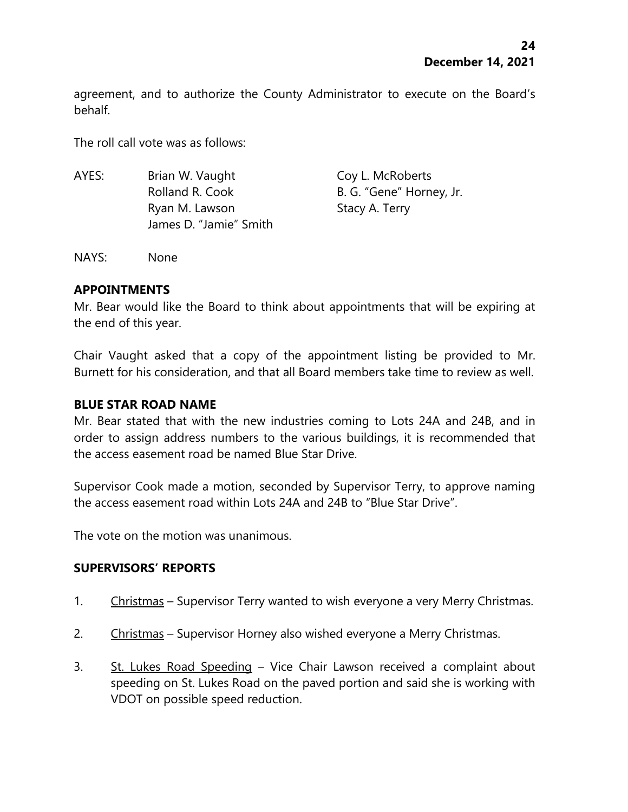agreement, and to authorize the County Administrator to execute on the Board's behalf.

The roll call vote was as follows:

AYES: Brian W. Vaught Coy L. McRoberts Rolland R. Cook B. G. "Gene" Horney, Jr. Ryan M. Lawson Stacy A. Terry James D. "Jamie" Smith

NAYS: None

# **APPOINTMENTS**

Mr. Bear would like the Board to think about appointments that will be expiring at the end of this year.

Chair Vaught asked that a copy of the appointment listing be provided to Mr. Burnett for his consideration, and that all Board members take time to review as well.

# **BLUE STAR ROAD NAME**

Mr. Bear stated that with the new industries coming to Lots 24A and 24B, and in order to assign address numbers to the various buildings, it is recommended that the access easement road be named Blue Star Drive.

Supervisor Cook made a motion, seconded by Supervisor Terry, to approve naming the access easement road within Lots 24A and 24B to "Blue Star Drive".

The vote on the motion was unanimous.

# **SUPERVISORS' REPORTS**

- 1. Christmas Supervisor Terry wanted to wish everyone a very Merry Christmas.
- 2. Christmas Supervisor Horney also wished everyone a Merry Christmas.
- 3. St. Lukes Road Speeding Vice Chair Lawson received a complaint about speeding on St. Lukes Road on the paved portion and said she is working with VDOT on possible speed reduction.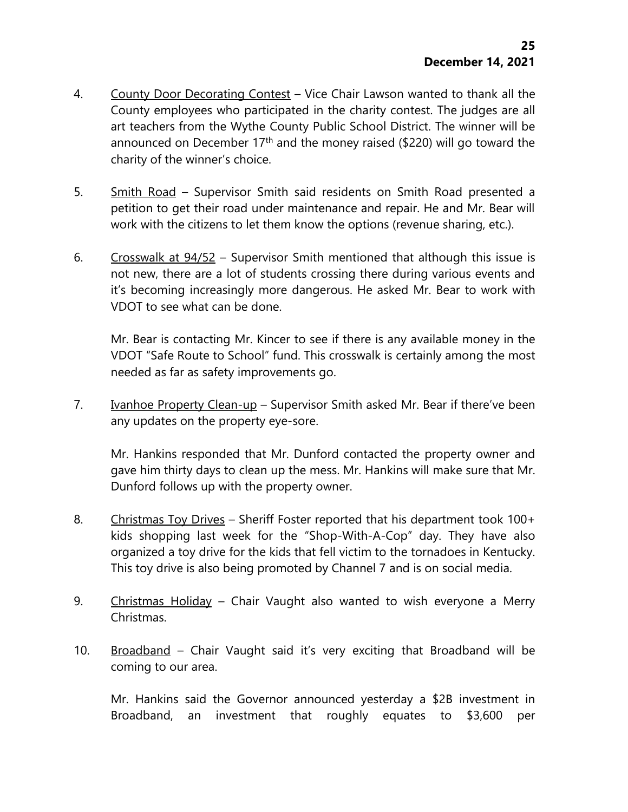- 4. County Door Decorating Contest Vice Chair Lawson wanted to thank all the County employees who participated in the charity contest. The judges are all art teachers from the Wythe County Public School District. The winner will be announced on December  $17<sup>th</sup>$  and the money raised (\$220) will go toward the charity of the winner's choice.
- 5. Smith Road Supervisor Smith said residents on Smith Road presented a petition to get their road under maintenance and repair. He and Mr. Bear will work with the citizens to let them know the options (revenue sharing, etc.).
- 6. Crosswalk at 94/52 Supervisor Smith mentioned that although this issue is not new, there are a lot of students crossing there during various events and it's becoming increasingly more dangerous. He asked Mr. Bear to work with VDOT to see what can be done.

Mr. Bear is contacting Mr. Kincer to see if there is any available money in the VDOT "Safe Route to School" fund. This crosswalk is certainly among the most needed as far as safety improvements go.

7. Ivanhoe Property Clean-up – Supervisor Smith asked Mr. Bear if there've been any updates on the property eye-sore.

Mr. Hankins responded that Mr. Dunford contacted the property owner and gave him thirty days to clean up the mess. Mr. Hankins will make sure that Mr. Dunford follows up with the property owner.

- 8. Christmas Toy Drives Sheriff Foster reported that his department took 100+ kids shopping last week for the "Shop-With-A-Cop" day. They have also organized a toy drive for the kids that fell victim to the tornadoes in Kentucky. This toy drive is also being promoted by Channel 7 and is on social media.
- 9. Christmas Holiday Chair Vaught also wanted to wish everyone a Merry Christmas.
- 10. Broadband Chair Vaught said it's very exciting that Broadband will be coming to our area.

Mr. Hankins said the Governor announced yesterday a \$2B investment in Broadband, an investment that roughly equates to \$3,600 per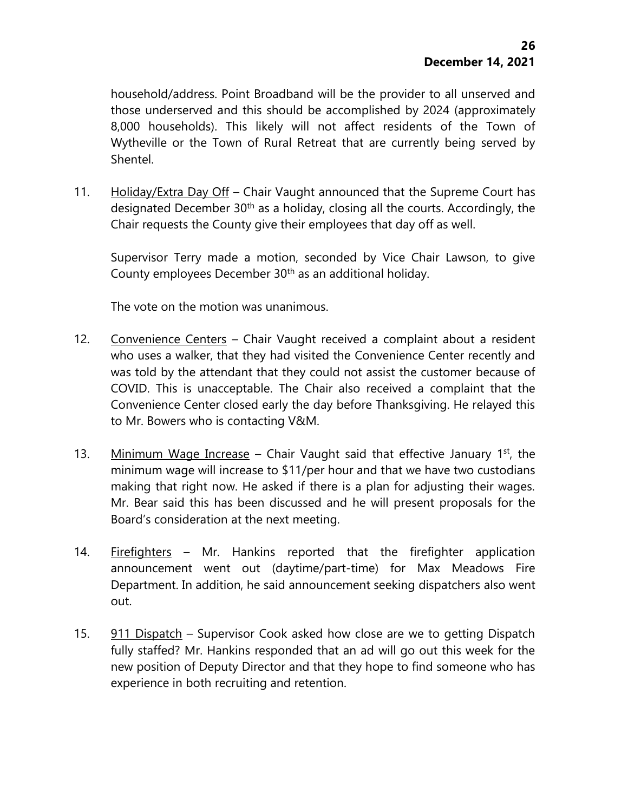household/address. Point Broadband will be the provider to all unserved and those underserved and this should be accomplished by 2024 (approximately 8,000 households). This likely will not affect residents of the Town of Wytheville or the Town of Rural Retreat that are currently being served by Shentel.

11. Holiday/Extra Day Off - Chair Vaught announced that the Supreme Court has designated December 30<sup>th</sup> as a holiday, closing all the courts. Accordingly, the Chair requests the County give their employees that day off as well.

Supervisor Terry made a motion, seconded by Vice Chair Lawson, to give County employees December 30th as an additional holiday.

The vote on the motion was unanimous.

- 12. Convenience Centers Chair Vaught received a complaint about a resident who uses a walker, that they had visited the Convenience Center recently and was told by the attendant that they could not assist the customer because of COVID. This is unacceptable. The Chair also received a complaint that the Convenience Center closed early the day before Thanksgiving. He relayed this to Mr. Bowers who is contacting V&M.
- 13. Minimum Wage Increase Chair Vaught said that effective January 1st, the minimum wage will increase to \$11/per hour and that we have two custodians making that right now. He asked if there is a plan for adjusting their wages. Mr. Bear said this has been discussed and he will present proposals for the Board's consideration at the next meeting.
- 14. Firefighters Mr. Hankins reported that the firefighter application announcement went out (daytime/part-time) for Max Meadows Fire Department. In addition, he said announcement seeking dispatchers also went out.
- 15. 911 Dispatch Supervisor Cook asked how close are we to getting Dispatch fully staffed? Mr. Hankins responded that an ad will go out this week for the new position of Deputy Director and that they hope to find someone who has experience in both recruiting and retention.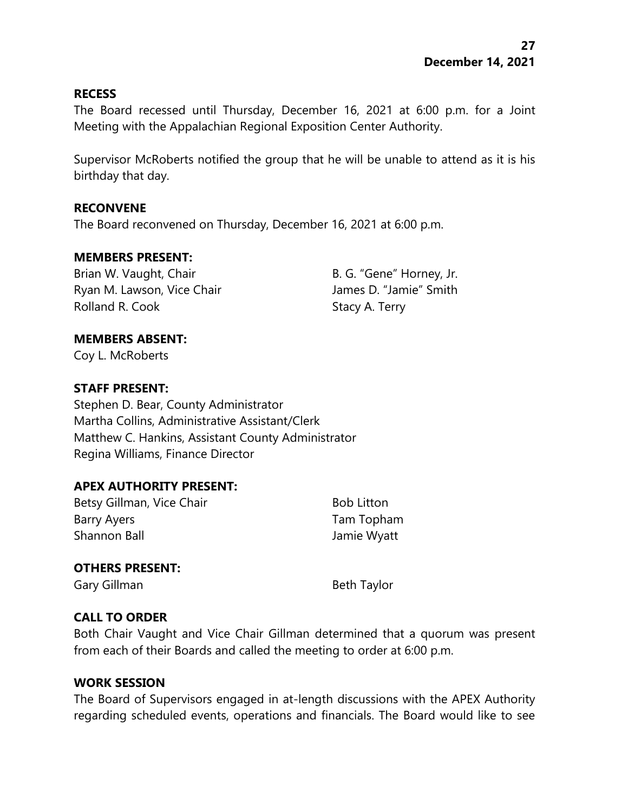#### **RECESS**

The Board recessed until Thursday, December 16, 2021 at 6:00 p.m. for a Joint Meeting with the Appalachian Regional Exposition Center Authority.

Supervisor McRoberts notified the group that he will be unable to attend as it is his birthday that day.

#### **RECONVENE**

The Board reconvened on Thursday, December 16, 2021 at 6:00 p.m.

#### **MEMBERS PRESENT:**

Brian W. Vaught, Chair **B. G. "Gene" Horney, Jr.** Ryan M. Lawson, Vice Chair **James D. "Jamie"** Smith Rolland R. Cook Stacy A. Terry

# **MEMBERS ABSENT:**

Coy L. McRoberts

# **STAFF PRESENT:**

Stephen D. Bear, County Administrator Martha Collins, Administrative Assistant/Clerk Matthew C. Hankins, Assistant County Administrator Regina Williams, Finance Director

# **APEX AUTHORITY PRESENT:**

Betsy Gillman, Vice Chair Bob Litton Barry Ayers **Tam Topham** Shannon Ball Jamie Wyatt

# **OTHERS PRESENT:**

Gary Gillman Beth Taylor

# **CALL TO ORDER**

Both Chair Vaught and Vice Chair Gillman determined that a quorum was present from each of their Boards and called the meeting to order at 6:00 p.m.

#### **WORK SESSION**

The Board of Supervisors engaged in at-length discussions with the APEX Authority regarding scheduled events, operations and financials. The Board would like to see